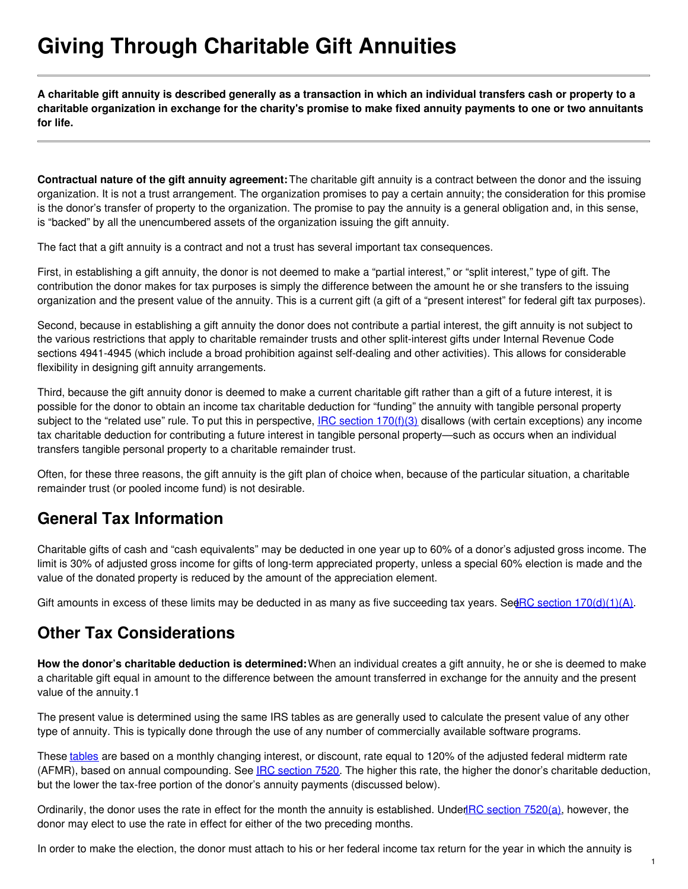# **Giving Through Charitable Gift Annuities**

A charitable gift annuity is described generally as a transaction in which an individual transfers cash or property to a charitable organization in exchange for the charity's promise to make fixed annuity payments to one or two annuitants **for life.**

**Contractual nature of the gift annuity agreement:**The charitable gift annuity is a contract between the donor and the issuing organization. It is not a trust arrangement. The organization promises to pay a certain annuity; the consideration for this promise is the donor's transfer of property to the organization. The promise to pay the annuity is a general obligation and, in this sense, is "backed" by all the unencumbered assets of the organization issuing the gift annuity.

The fact that a gift annuity is a contract and not a trust has several important tax consequences.

First, in establishing a gift annuity, the donor is not deemed to make a "partial interest," or "split interest," type of gift. The contribution the donor makes for tax purposes is simply the difference between the amount he or she transfers to the issuing organization and the present value of the annuity. This is a current gift (a gift of a "present interest" for federal gift tax purposes).

Second, because in establishing a gift annuity the donor does not contribute a partial interest, the gift annuity is not subject to the various restrictions that apply to charitable remainder trusts and other split-interest gifts under Internal Revenue Code sections 4941-4945 (which include a broad prohibition against self-dealing and other activities). This allows for considerable flexibility in designing gift annuity arrangements.

Third, because the gift annuity donor is deemed to make a current charitable gift rather than a gift of a future interest, it is possible for the donor to obtain an income tax charitable deduction for "funding" the annuity with tangible personal property subject to the "related use" rule. To put this in perspective,  $IRC$  section  $170(f)(3)$  disallows (with certain exceptions) any income tax charitable deduction for contributing a future interest in tangible personal property—such as occurs when an individual transfers tangible personal property to a charitable remainder trust.

Often, for these three reasons, the gift annuity is the gift plan of choice when, because of the particular situation, a charitable remainder trust (or pooled income fund) is not desirable.

## **General Tax Information**

Charitable gifts of cash and "cash equivalents" may be deducted in one year up to 60% of a donor's adjusted gross income. The limit is 30% of adjusted gross income for gifts of long-term appreciated property, unless a special 60% election is made and the value of the donated property is reduced by the amount of the appreciation element.

Gift amounts in excess of these limits may be deducted in as many as five succeeding tax years. See RC section  $170(d)(1)(A)$ .

### **Other Tax Considerations**

**How the donor's charitable deduction is determined:**When an individual creates a gift annuity, he or she is deemed to make a charitable gift equal in amount to the difference between the amount transferred in exchange for the annuity and the present value of the annuity.1

The present value is determined using the same IRS tables as are generally used to calculate the present value of any other type of annuity. This is typically done through the use of any number of commercially available software programs.

These [tables](http://www.pgdc.com/pgdc/resources/tables/charitable-federal-midterm-rate-archive?gid=431) are based on a monthly changing interest, or discount, rate equal to 120% of the adjusted federal midterm rate (AFMR), based on annual compounding. See IRC [section](https://www.law.cornell.edu/uscode/text/26/7520) 7520. The higher this rate, the higher the donor's charitable deduction, but the lower the tax-free portion of the donor's annuity payments (discussed below).

Ordinarily, the donor uses the rate in effect for the month the annuity is established. Under **IRC** section [7520\(a\)](https://www.law.cornell.edu/uscode/text/26/7520#a), however, the donor may elect to use the rate in effect for either of the two preceding months.

In order to make the election, the donor must attach to his or her federal income tax return for the year in which the annuity is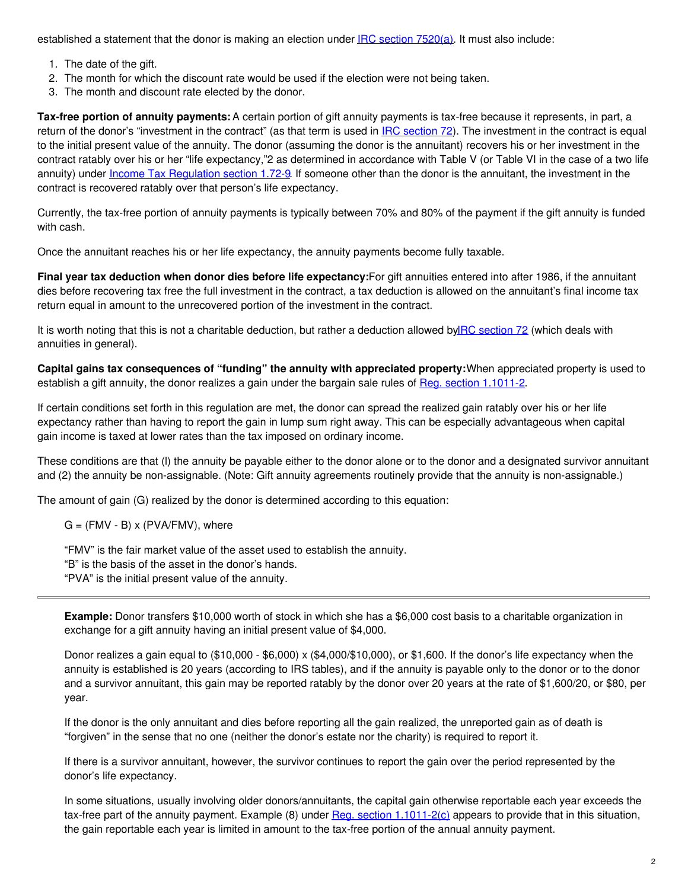established a statement that the donor is making an election under IRC section [7520\(a\)](https://www.law.cornell.edu/uscode/text/26/7520#a). It must also include:

- 1. The date of the gift.
- 2. The month for which the discount rate would be used if the election were not being taken.
- 3. The month and discount rate elected by the donor.

**Tax-free portion of annuity payments:** A certain portion of gift annuity payments is tax-free because it represents, in part, a return of the donor's "investment in the contract" (as that term is used in **IRC [section](https://www.law.cornell.edu/uscode/text/26/72) 72**). The investment in the contract is equal to the initial present value of the annuity. The donor (assuming the donor is the annuitant) recovers his or her investment in the contract ratably over his or her "life expectancy,"2 as determined in accordance with Table V (or Table VI in the case of a two life annuity) under Income Tax [Regulation](http://edocket.access.gpo.gov/cfr_2008/aprqtr/pdf/26cfr1.72-9.pdf) section 1.72-9. If someone other than the donor is the annuitant, the investment in the contract is recovered ratably over that person's life expectancy.

Currently, the tax-free portion of annuity payments is typically between 70% and 80% of the payment if the gift annuity is funded with cash.

Once the annuitant reaches his or her life expectancy, the annuity payments become fully taxable.

**Final year tax deduction when donor dies before life expectancy:**For gift annuities entered into after 1986, if the annuitant dies before recovering tax free the full investment in the contract, a tax deduction is allowed on the annuitant's final income tax return equal in amount to the unrecovered portion of the investment in the contract.

It is worth noting that this is not a charitable deduction, but rather a deduction allowed by RC [section](https://www.law.cornell.edu/uscode/text/26/72) 72 (which deals with annuities in general).

**Capital gains tax consequences of "funding" the annuity with appreciated property:**When appreciated property is used to establish a gift annuity, the donor realizes a gain under the bargain sale rules of Reg. section [1.1011-2](http://edocket.access.gpo.gov/cfr_2008/aprqtr/pdf/26cfr1.1011-2.pdf).

If certain conditions set forth in this regulation are met, the donor can spread the realized gain ratably over his or her life expectancy rather than having to report the gain in lump sum right away. This can be especially advantageous when capital gain income is taxed at lower rates than the tax imposed on ordinary income.

These conditions are that (l) the annuity be payable either to the donor alone or to the donor and a designated survivor annuitant and (2) the annuity be non-assignable. (Note: Gift annuity agreements routinely provide that the annuity is non-assignable.)

The amount of gain (G) realized by the donor is determined according to this equation:

 $G = (FMV - B) \times (PVA/FMV)$ , where

"FMV" is the fair market value of the asset used to establish the annuity.

"B" is the basis of the asset in the donor's hands.

"PVA" is the initial present value of the annuity.

**Example:** Donor transfers \$10,000 worth of stock in which she has a \$6,000 cost basis to a charitable organization in exchange for a gift annuity having an initial present value of \$4,000.

Donor realizes a gain equal to  $(\$10,000 - \$6,000) \times (\$4,000/\$10,000)$ , or  $\$1,600$ . If the donor's life expectancy when the annuity is established is 20 years (according to IRS tables), and if the annuity is payable only to the donor or to the donor and a survivor annuitant, this gain may be reported ratably by the donor over 20 years at the rate of \$1,600/20, or \$80, per year.

If the donor is the only annuitant and dies before reporting all the gain realized, the unreported gain as of death is "forgiven" in the sense that no one (neither the donor's estate nor the charity) is required to report it.

If there is a survivor annuitant, however, the survivor continues to report the gain over the period represented by the donor's life expectancy.

In some situations, usually involving older donors/annuitants, the capital gain otherwise reportable each year exceeds the tax-free part of the annuity payment. Example  $(8)$  under Reg. section 1.1011-2 $(c)$  appears to provide that in this situation, the gain reportable each year is limited in amount to the tax-free portion of the annual annuity payment.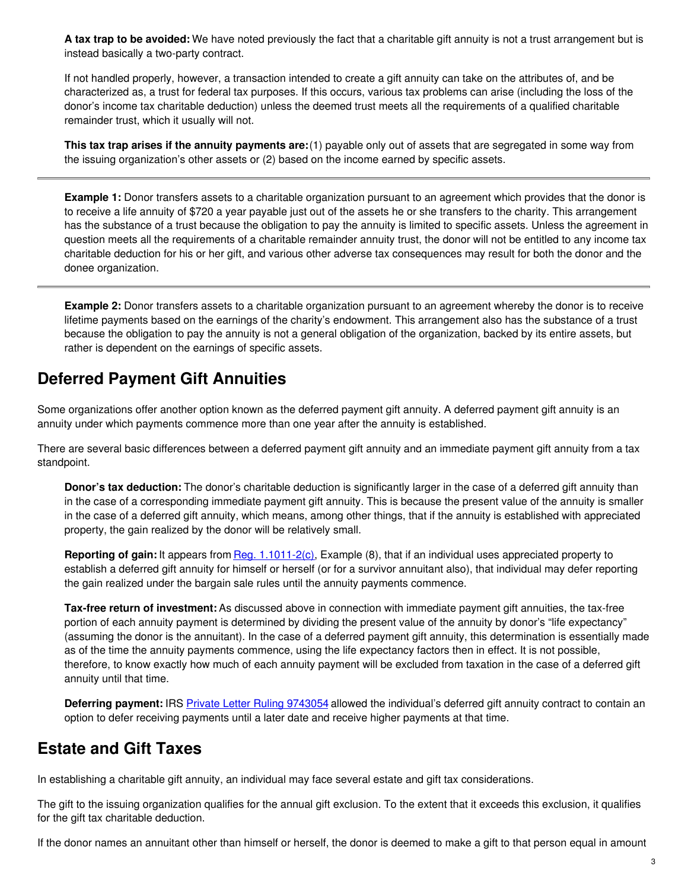**A tax trap to be avoided:** We have noted previously the fact that a charitable gift annuity is not a trust arrangement but is instead basically a two-party contract.

If not handled properly, however, a transaction intended to create a gift annuity can take on the attributes of, and be characterized as, a trust for federal tax purposes. If this occurs, various tax problems can arise (including the loss of the donor's income tax charitable deduction) unless the deemed trust meets all the requirements of a qualified charitable remainder trust, which it usually will not.

**This tax trap arises if the annuity payments are:**(1) payable only out of assets that are segregated in some way from the issuing organization's other assets or (2) based on the income earned by specific assets.

**Example 1:** Donor transfers assets to a charitable organization pursuant to an agreement which provides that the donor is to receive a life annuity of \$720 a year payable just out of the assets he or she transfers to the charity. This arrangement has the substance of a trust because the obligation to pay the annuity is limited to specific assets. Unless the agreement in question meets all the requirements of a charitable remainder annuity trust, the donor will not be entitled to any income tax charitable deduction for his or her gift, and various other adverse tax consequences may result for both the donor and the donee organization.

**Example 2:** Donor transfers assets to a charitable organization pursuant to an agreement whereby the donor is to receive lifetime payments based on the earnings of the charity's endowment. This arrangement also has the substance of a trust because the obligation to pay the annuity is not a general obligation of the organization, backed by its entire assets, but rather is dependent on the earnings of specific assets.

## **Deferred Payment Gift Annuities**

Some organizations offer another option known as the deferred payment gift annuity. A deferred payment gift annuity is an annuity under which payments commence more than one year after the annuity is established.

There are several basic differences between a deferred payment gift annuity and an immediate payment gift annuity from a tax standpoint.

**Donor's tax deduction:** The donor's charitable deduction is significantly larger in the case of a deferred gift annuity than in the case of a corresponding immediate payment gift annuity. This is because the present value of the annuity is smaller in the case of a deferred gift annuity, which means, among other things, that if the annuity is established with appreciated property, the gain realized by the donor will be relatively small.

**Reporting of gain:** It appears from Reg. [1.1011-2\(c\),](http://edocket.access.gpo.gov/cfr_2008/aprqtr/pdf/26cfr1.1011-2.pdf) Example (8), that if an individual uses appreciated property to establish a deferred gift annuity for himself or herself (or for a survivor annuitant also), that individual may defer reporting the gain realized under the bargain sale rules until the annuity payments commence.

**Tax-free return of investment:** As discussed above in connection with immediate payment gift annuities, the tax-free portion of each annuity payment is determined by dividing the present value of the annuity by donor's "life expectancy" (assuming the donor is the annuitant). In the case of a deferred payment gift annuity, this determination is essentially made as of the time the annuity payments commence, using the life expectancy factors then in effect. It is not possible, therefore, to know exactly how much of each annuity payment will be excluded from taxation in the case of a deferred gift annuity until that time.

**Deferring payment:** IRS Private Letter Ruling [9743054](http://www.pgdc.com/pgdc/story/investment-charitable-gift-annuity-funds-will-not-trigger-ubti?gid=431) allowed the individual's deferred gift annuity contract to contain an option to defer receiving payments until a later date and receive higher payments at that time.

## **Estate and Gift Taxes**

In establishing a charitable gift annuity, an individual may face several estate and gift tax considerations.

The gift to the issuing organization qualifies for the annual gift exclusion. To the extent that it exceeds this exclusion, it qualifies for the gift tax charitable deduction.

If the donor names an annuitant other than himself or herself, the donor is deemed to make a gift to that person equal in amount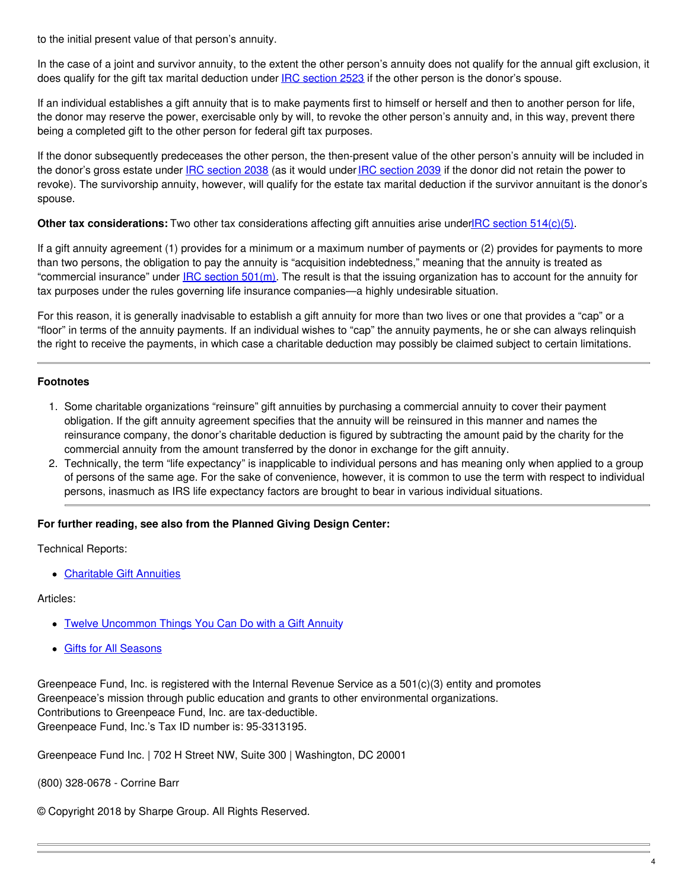to the initial present value of that person's annuity.

In the case of a joint and survivor annuity, to the extent the other person's annuity does not qualify for the annual gift exclusion, it does qualify for the gift tax marital deduction under **IRC** [section](https://www.law.cornell.edu/uscode/text/26/2523) 2523 if the other person is the donor's spouse.

If an individual establishes a gift annuity that is to make payments first to himself or herself and then to another person for life, the donor may reserve the power, exercisable only by will, to revoke the other person's annuity and, in this way, prevent there being a completed gift to the other person for federal gift tax purposes.

If the donor subsequently predeceases the other person, the then-present value of the other person's annuity will be included in the donor's gross estate under IRC [section](https://www.law.cornell.edu/uscode/text/26/2039) 2038 (as it would under IRC section 2039 if the donor did not retain the power to revoke). The survivorship annuity, however, will qualify for the estate tax marital deduction if the survivor annuitant is the donor's spouse.

#### **Other tax considerations:** Two other tax considerations affecting gift annuities arise underIRC section [514\(c\)\(5\)](https://www.law.cornell.edu/uscode/text/26/514#c_5).

If a gift annuity agreement (1) provides for a minimum or a maximum number of payments or (2) provides for payments to more than two persons, the obligation to pay the annuity is "acquisition indebtedness," meaning that the annuity is treated as "commercial insurance" under IRC [section](https://www.law.cornell.edu/uscode/text/26/501#m) 501(m). The result is that the issuing organization has to account for the annuity for tax purposes under the rules governing life insurance companies—a highly undesirable situation.

For this reason, it is generally inadvisable to establish a gift annuity for more than two lives or one that provides a "cap" or a "floor" in terms of the annuity payments. If an individual wishes to "cap" the annuity payments, he or she can always relinquish the right to receive the payments, in which case a charitable deduction may possibly be claimed subject to certain limitations.

#### **Footnotes**

- 1. Some charitable organizations "reinsure" gift annuities by purchasing a commercial annuity to cover their payment obligation. If the gift annuity agreement specifies that the annuity will be reinsured in this manner and names the reinsurance company, the donor's charitable deduction is figured by subtracting the amount paid by the charity for the commercial annuity from the amount transferred by the donor in exchange for the gift annuity.
- 2. Technically, the term "life expectancy" is inapplicable to individual persons and has meaning only when applied to a group of persons of the same age. For the sake of convenience, however, it is common to use the term with respect to individual persons, inasmuch as IRS life expectancy factors are brought to bear in various individual situations.

#### **For further reading, see also from the Planned Giving Design Center:**

Technical Reports:

[Charitable](http://www.pgdc.com/pgdc/charitable-gift-annuity?gid=431) Gift Annuities

#### Articles:

- Twelve [Uncommon](http://www.pgdc.com/pgdc/article/2000/03/twelve-uncommon-things-you-can-do-gift-annuity?gid=431) Things You Can Do with a Gift Annuity
- Gifts for All [Seasons](http://www.pgdc.com/pgdc/gifts-all-seasons?gid=431)

Greenpeace Fund, Inc. is registered with the Internal Revenue Service as a 501(c)(3) entity and promotes Greenpeace's mission through public education and grants to other environmental organizations. Contributions to Greenpeace Fund, Inc. are tax-deductible. Greenpeace Fund, Inc.'s Tax ID number is: 95-3313195.

Greenpeace Fund Inc. | 702 H Street NW, Suite 300 | Washington, DC 20001

(800) 328-0678 - Corrine Barr

© Copyright 2018 by Sharpe Group. All Rights Reserved.